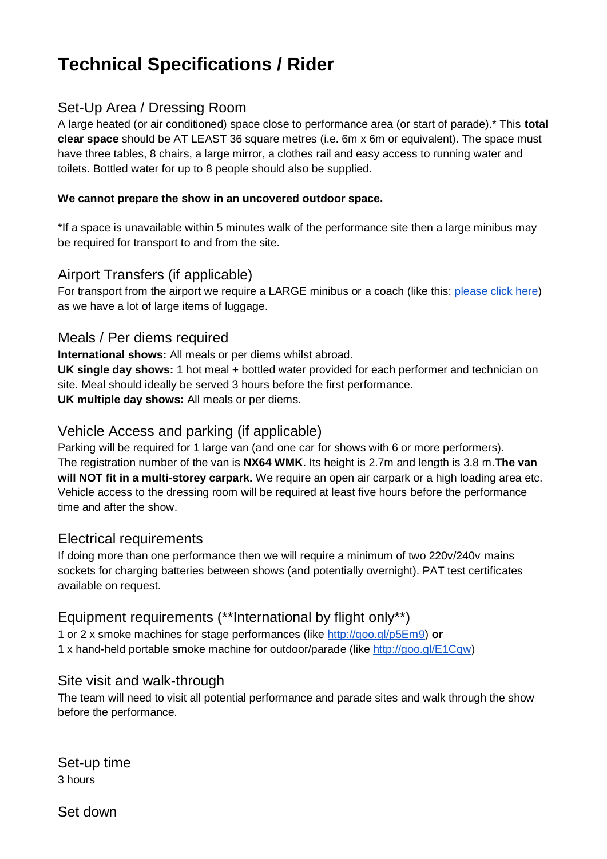# **Technical Specifications / Rider**

# Set-Up Area / Dressing Room

A large heated (or air conditioned) space close to performance area (or start of parade).\* This **total clear space** should be AT LEAST 36 square metres (i.e. 6m x 6m or equivalent). The space must have three tables, 8 chairs, a large mirror, a clothes rail and easy access to running water and toilets. Bottled water for up to 8 people should also be supplied.

#### **We cannot prepare the show in an uncovered outdoor space.**

\*If a space is unavailable within 5 minutes walk of the performance site then a large minibus may be required for transport to and from the site.

# Airport Transfers (if applicable)

For transport from the airport we require a LARGE minibus or a coach (like this: [please click here\)](https://www.google.co.uk/search?q=toyota+coaster&rlz=1C1GGGE_enGB372&espv=210&es_sm=93&tbm=isch&imgil=GCX39Azn844RuM%253A%253Bhttps%253A%252F%252Fencrypted-tbn3.gstatic.com%252Fimages%253Fq%253Dtbn%253AANd9GcSeaSW0WOdV3_bC9LDTnNh37BVMSh5whyELCulkvGXimUJx5A1e%253B1280%253B960%253BtKe6xcrY4Y8kNM%253Bhttp%25253A%25252F%25252Fen.wikipedia.org%25252Fwiki%25252FToyota_Coaster&source=iu&usg=__VbgLpvXysffc00PH7oZ-gefsr10%3D&sa=X&ei=qCQfU9rBMY7B7AaU0ICYCQ&ved=0CEEQ9QEwAA#facrc=_&imgrc=GCX39Azn844RuM%253A%3BtKe6xcrY4Y8kNM%3Bhttp%253A%252F%252Fupload.wikimedia.org%252Fwikipedia%252Fcommons%252F8%252F83%252FTEPCO_yokohama-powerplant_coaster_hybrid-EV.jpg%3Bhttp%253A%252F%252Fen.wikipedia.org%252Fwiki%252FToyota_Coaster%3B128) as we have a lot of large items of luggage.

## Meals / Per diems required

**International shows:** All meals or per diems whilst abroad.

**UK single day shows:** 1 hot meal + bottled water provided for each performer and technician on site. Meal should ideally be served 3 hours before the first performance. **UK multiple day shows:** All meals or per diems.

## Vehicle Access and parking (if applicable)

Parking will be required for 1 large van (and one car for shows with 6 or more performers). The registration number of the van is **NX64 WMK**. Its height is 2.7m and length is 3.8 m.**The van will NOT fit in a multi-storey carpark.** We require an open air carpark or a high loading area etc. Vehicle access to the dressing room will be required at least five hours before the performance time and after the show.

## Electrical requirements

If doing more than one performance then we will require a minimum of two 220v/240v mains sockets for charging batteries between shows (and potentially overnight). PAT test certificates available on request.

# Equipment requirements (\*\*International by flight only\*\*)

1 or 2 x smoke machines for stage performances (like [http://goo.gl/p5Em9\)](http://goo.gl/p5Em9) **or** 1 x hand-held portable smoke machine for outdoor/parade (like [http://goo.gl/E1Cqw\)](http://goo.gl/E1Cqw)

## Site visit and walk-through

The team will need to visit all potential performance and parade sites and walk through the show before the performance.

Set-up time 3 hours

Set down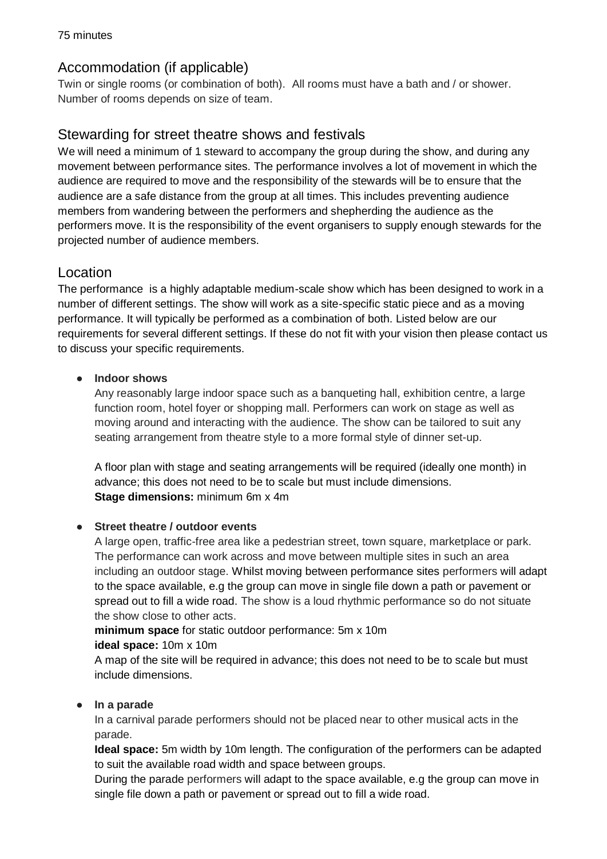# Accommodation (if applicable)

Twin or single rooms (or combination of both). All rooms must have a bath and / or shower. Number of rooms depends on size of team.

# Stewarding for street theatre shows and festivals

We will need a minimum of 1 steward to accompany the group during the show, and during any movement between performance sites. The performance involves a lot of movement in which the audience are required to move and the responsibility of the stewards will be to ensure that the audience are a safe distance from the group at all times. This includes preventing audience members from wandering between the performers and shepherding the audience as the performers move. It is the responsibility of the event organisers to supply enough stewards for the projected number of audience members.

# Location

The performance is a highly adaptable medium-scale show which has been designed to work in a number of different settings. The show will work as a site-specific static piece and as a moving performance. It will typically be performed as a combination of both. Listed below are our requirements for several different settings. If these do not fit with your vision then please contact us to discuss your specific requirements.

#### **● Indoor shows**

Any reasonably large indoor space such as a banqueting hall, exhibition centre, a large function room, hotel foyer or shopping mall. Performers can work on stage as well as moving around and interacting with the audience. The show can be tailored to suit any seating arrangement from theatre style to a more formal style of dinner set-up.

A floor plan with stage and seating arrangements will be required (ideally one month) in advance; this does not need to be to scale but must include dimensions. **Stage dimensions:** minimum 6m x 4m

#### **● Street theatre / outdoor events**

A large open, traffic-free area like a pedestrian street, town square, marketplace or park. The performance can work across and move between multiple sites in such an area including an outdoor stage. Whilst moving between performance sites performers will adapt to the space available, e.g the group can move in single file down a path or pavement or spread out to fill a wide road. The show is a loud rhythmic performance so do not situate the show close to other acts.

**minimum space** for static outdoor performance: 5m x 10m

#### **ideal space:** 10m x 10m

A map of the site will be required in advance; this does not need to be to scale but must include dimensions.

#### **● In a parade**

In a carnival parade performers should not be placed near to other musical acts in the parade.

**Ideal space:** 5m width by 10m length. The configuration of the performers can be adapted to suit the available road width and space between groups.

During the parade performers will adapt to the space available, e.g the group can move in single file down a path or pavement or spread out to fill a wide road.